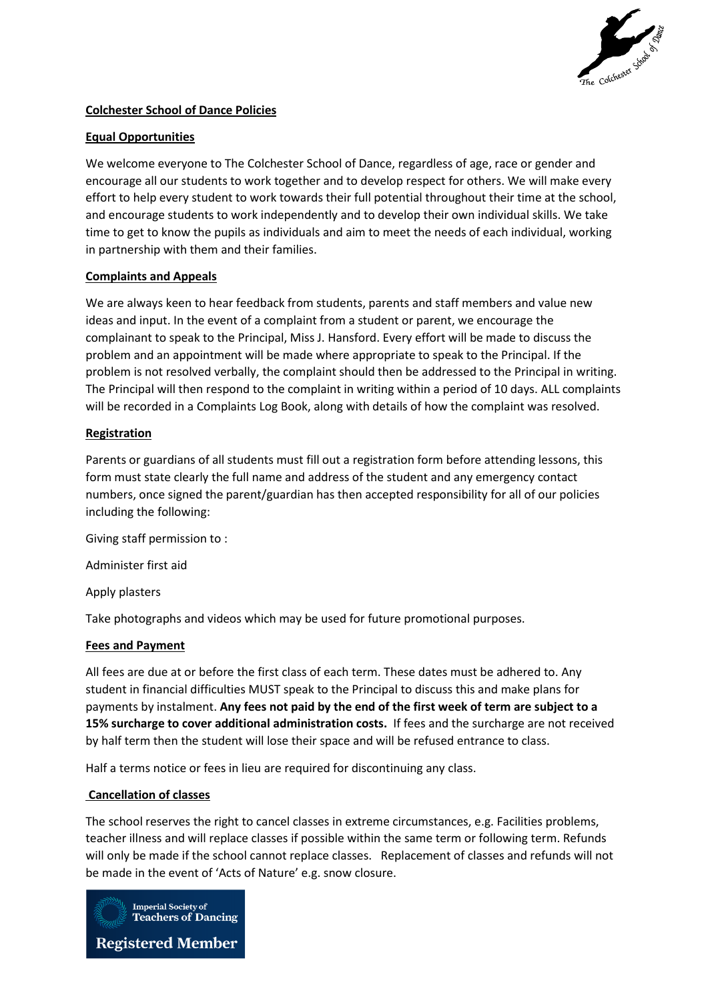

# **Colchester School of Dance Policies**

## **Equal Opportunities**

We welcome everyone to The Colchester School of Dance, regardless of age, race or gender and encourage all our students to work together and to develop respect for others. We will make every effort to help every student to work towards their full potential throughout their time at the school, and encourage students to work independently and to develop their own individual skills. We take time to get to know the pupils as individuals and aim to meet the needs of each individual, working in partnership with them and their families.

### **Complaints and Appeals**

We are always keen to hear feedback from students, parents and staff members and value new ideas and input. In the event of a complaint from a student or parent, we encourage the complainant to speak to the Principal, Miss J. Hansford. Every effort will be made to discuss the problem and an appointment will be made where appropriate to speak to the Principal. If the problem is not resolved verbally, the complaint should then be addressed to the Principal in writing. The Principal will then respond to the complaint in writing within a period of 10 days. ALL complaints will be recorded in a Complaints Log Book, along with details of how the complaint was resolved.

### **Registration**

Parents or guardians of all students must fill out a registration form before attending lessons, this form must state clearly the full name and address of the student and any emergency contact numbers, once signed the parent/guardian has then accepted responsibility for all of our policies including the following:

Giving staff permission to :

Administer first aid

Apply plasters

Take photographs and videos which may be used for future promotional purposes.

## **Fees and Payment**

All fees are due at or before the first class of each term. These dates must be adhered to. Any student in financial difficulties MUST speak to the Principal to discuss this and make plans for payments by instalment. **Any fees not paid by the end of the first week of term are subject to a 15% surcharge to cover additional administration costs.** If fees and the surcharge are not received by half term then the student will lose their space and will be refused entrance to class.

Half a terms notice or fees in lieu are required for discontinuing any class.

#### **Cancellation of classes**

The school reserves the right to cancel classes in extreme circumstances, e.g. Facilities problems, teacher illness and will replace classes if possible within the same term or following term. Refunds will only be made if the school cannot replace classes. Replacement of classes and refunds will not be made in the event of 'Acts of Nature' e.g. snow closure.

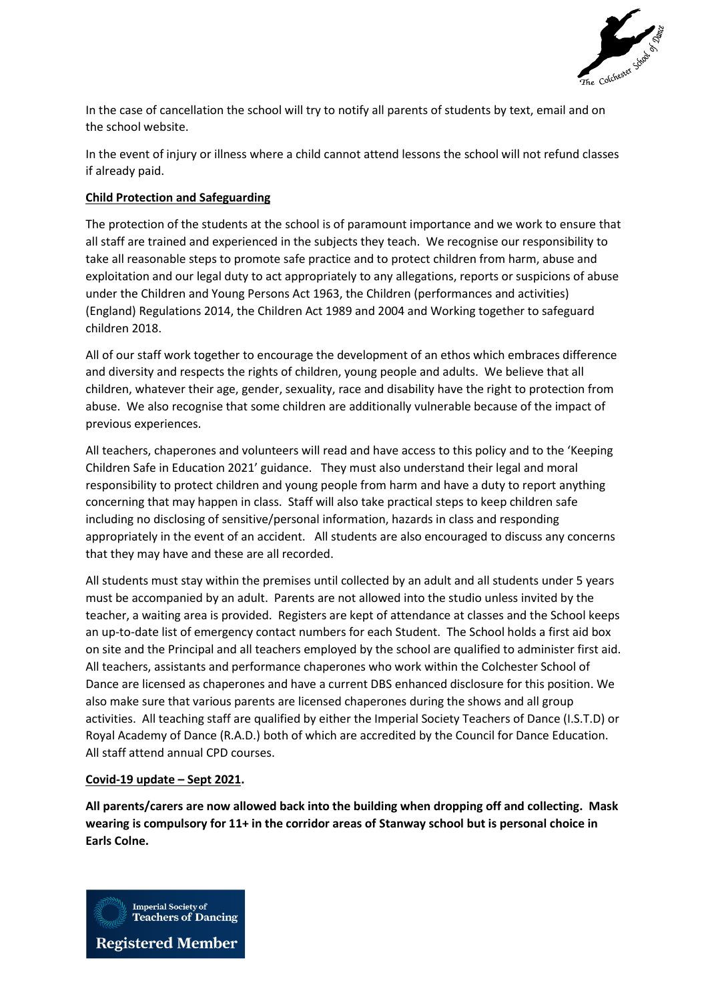

In the case of cancellation the school will try to notify all parents of students by text, email and on the school website.

In the event of injury or illness where a child cannot attend lessons the school will not refund classes if already paid.

### **Child Protection and Safeguarding**

The protection of the students at the school is of paramount importance and we work to ensure that all staff are trained and experienced in the subjects they teach. We recognise our responsibility to take all reasonable steps to promote safe practice and to protect children from harm, abuse and exploitation and our legal duty to act appropriately to any allegations, reports or suspicions of abuse under the Children and Young Persons Act 1963, the Children (performances and activities) (England) Regulations 2014, the Children Act 1989 and 2004 and Working together to safeguard children 2018.

All of our staff work together to encourage the development of an ethos which embraces difference and diversity and respects the rights of children, young people and adults. We believe that all children, whatever their age, gender, sexuality, race and disability have the right to protection from abuse. We also recognise that some children are additionally vulnerable because of the impact of previous experiences.

All teachers, chaperones and volunteers will read and have access to this policy and to the 'Keeping Children Safe in Education 2021' guidance. They must also understand their legal and moral responsibility to protect children and young people from harm and have a duty to report anything concerning that may happen in class. Staff will also take practical steps to keep children safe including no disclosing of sensitive/personal information, hazards in class and responding appropriately in the event of an accident. All students are also encouraged to discuss any concerns that they may have and these are all recorded.

All students must stay within the premises until collected by an adult and all students under 5 years must be accompanied by an adult. Parents are not allowed into the studio unless invited by the teacher, a waiting area is provided. Registers are kept of attendance at classes and the School keeps an up-to-date list of emergency contact numbers for each Student. The School holds a first aid box on site and the Principal and all teachers employed by the school are qualified to administer first aid. All teachers, assistants and performance chaperones who work within the Colchester School of Dance are licensed as chaperones and have a current DBS enhanced disclosure for this position. We also make sure that various parents are licensed chaperones during the shows and all group activities. All teaching staff are qualified by either the Imperial Society Teachers of Dance (I.S.T.D) or Royal Academy of Dance (R.A.D.) both of which are accredited by the Council for Dance Education. All staff attend annual CPD courses.

#### **Covid-19 update – Sept 2021.**

**All parents/carers are now allowed back into the building when dropping off and collecting. Mask wearing is compulsory for 11+ in the corridor areas of Stanway school but is personal choice in Earls Colne.**

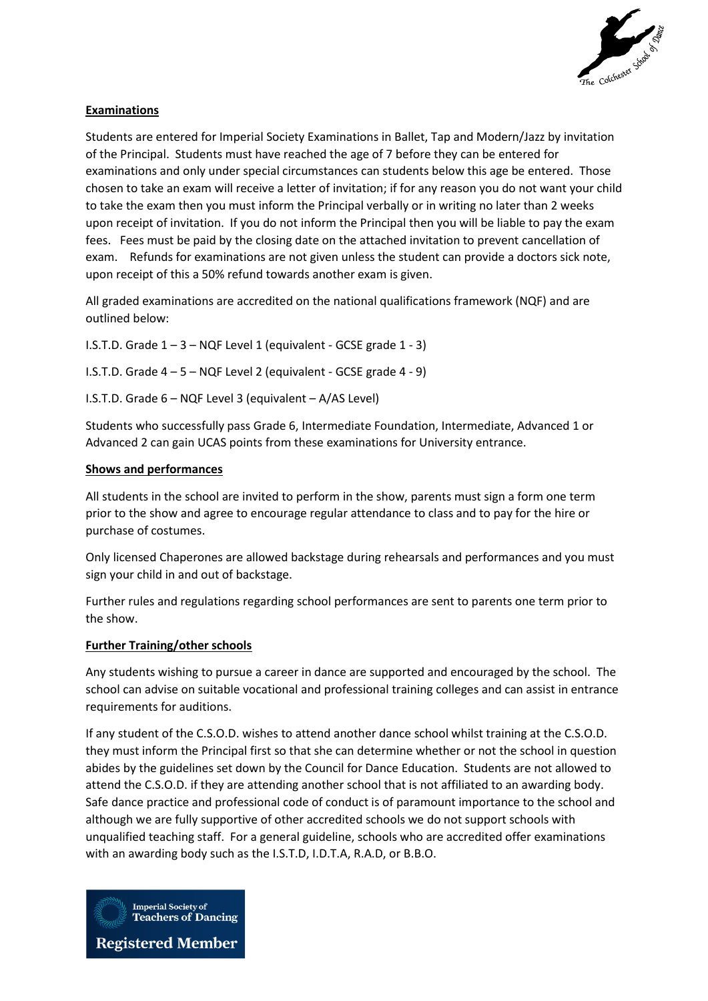

# **Examinations**

Students are entered for Imperial Society Examinations in Ballet, Tap and Modern/Jazz by invitation of the Principal. Students must have reached the age of 7 before they can be entered for examinations and only under special circumstances can students below this age be entered. Those chosen to take an exam will receive a letter of invitation; if for any reason you do not want your child to take the exam then you must inform the Principal verbally or in writing no later than 2 weeks upon receipt of invitation. If you do not inform the Principal then you will be liable to pay the exam fees. Fees must be paid by the closing date on the attached invitation to prevent cancellation of exam. Refunds for examinations are not given unless the student can provide a doctors sick note, upon receipt of this a 50% refund towards another exam is given.

All graded examinations are accredited on the national qualifications framework (NQF) and are outlined below:

I.S.T.D. Grade  $1 - 3 - NQF$  Level 1 (equivalent - GCSE grade  $1 - 3$ )

I.S.T.D. Grade 4 – 5 – NQF Level 2 (equivalent - GCSE grade 4 - 9)

I.S.T.D. Grade 6 – NQF Level 3 (equivalent – A/AS Level)

Students who successfully pass Grade 6, Intermediate Foundation, Intermediate, Advanced 1 or Advanced 2 can gain UCAS points from these examinations for University entrance.

### **Shows and performances**

All students in the school are invited to perform in the show, parents must sign a form one term prior to the show and agree to encourage regular attendance to class and to pay for the hire or purchase of costumes.

Only licensed Chaperones are allowed backstage during rehearsals and performances and you must sign your child in and out of backstage.

Further rules and regulations regarding school performances are sent to parents one term prior to the show.

## **Further Training/other schools**

Any students wishing to pursue a career in dance are supported and encouraged by the school. The school can advise on suitable vocational and professional training colleges and can assist in entrance requirements for auditions.

If any student of the C.S.O.D. wishes to attend another dance school whilst training at the C.S.O.D. they must inform the Principal first so that she can determine whether or not the school in question abides by the guidelines set down by the Council for Dance Education. Students are not allowed to attend the C.S.O.D. if they are attending another school that is not affiliated to an awarding body. Safe dance practice and professional code of conduct is of paramount importance to the school and although we are fully supportive of other accredited schools we do not support schools with unqualified teaching staff. For a general guideline, schools who are accredited offer examinations with an awarding body such as the I.S.T.D, I.D.T.A, R.A.D, or B.B.O.

**Imperial Society of Teachers of Dancing** 

**Registered Member**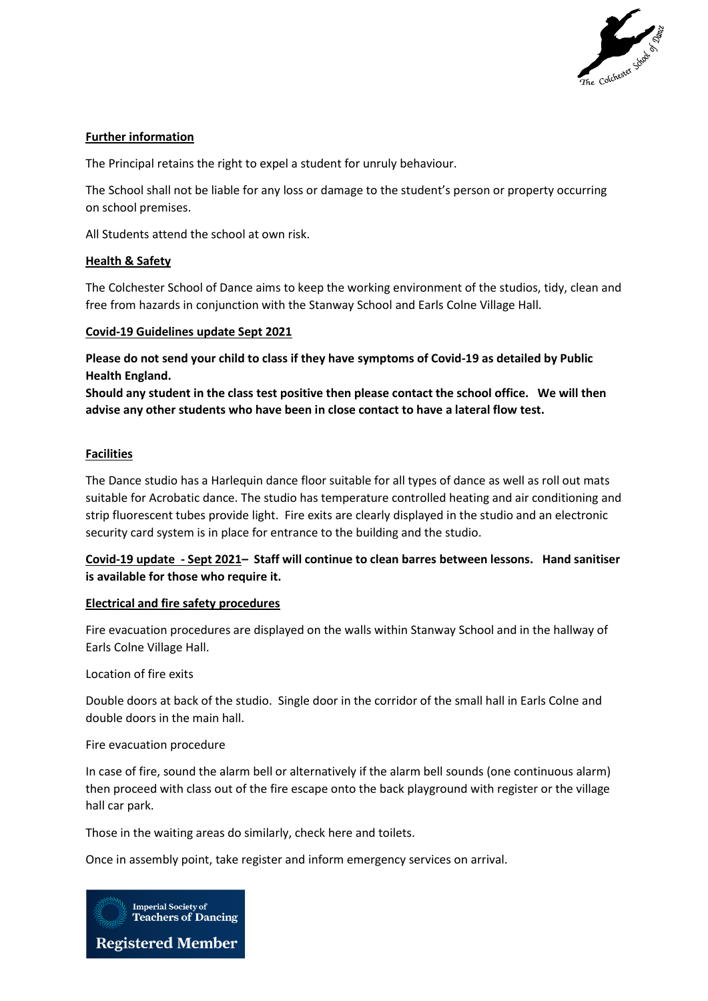

## **Further information**

The Principal retains the right to expel a student for unruly behaviour.

The School shall not be liable for any loss or damage to the student's person or property occurring on school premises.

All Students attend the school at own risk.

### **Health & Safety**

The Colchester School of Dance aims to keep the working environment of the studios, tidy, clean and free from hazards in conjunction with the Stanway School and Earls Colne Village Hall.

### **Covid-19 Guidelines update Sept 2021**

**Please do not send your child to class if they have symptoms of Covid-19 as detailed by Public Health England.** 

**Should any student in the class test positive then please contact the school office. We will then advise any other students who have been in close contact to have a lateral flow test.**

### **Facilities**

The Dance studio has a Harlequin dance floor suitable for all types of dance as well as roll out mats suitable for Acrobatic dance. The studio has temperature controlled heating and air conditioning and strip fluorescent tubes provide light. Fire exits are clearly displayed in the studio and an electronic security card system is in place for entrance to the building and the studio.

**Covid-19 update - Sept 2021– Staff will continue to clean barres between lessons. Hand sanitiser is available for those who require it.**

## **Electrical and fire safety procedures**

Fire evacuation procedures are displayed on the walls within Stanway School and in the hallway of Earls Colne Village Hall.

Location of fire exits

Double doors at back of the studio. Single door in the corridor of the small hall in Earls Colne and double doors in the main hall.

#### Fire evacuation procedure

In case of fire, sound the alarm bell or alternatively if the alarm bell sounds (one continuous alarm) then proceed with class out of the fire escape onto the back playground with register or the village hall car park.

Those in the waiting areas do similarly, check here and toilets.

Once in assembly point, take register and inform emergency services on arrival.